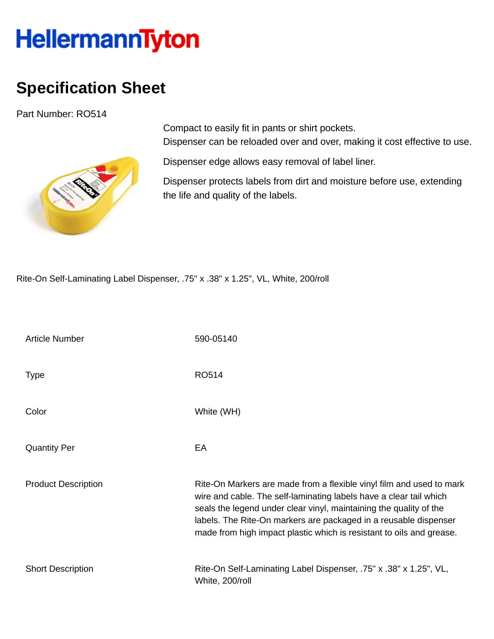## HellermannTyton

## **Specification Sheet**

Part Number: RO514



Compact to easily fit in pants or shirt pockets. Dispenser can be reloaded over and over, making it cost effective to use.

Dispenser edge allows easy removal of label liner.

Dispenser protects labels from dirt and moisture before use, extending the life and quality of the labels.

Rite-On Self-Laminating Label Dispenser, .75" x .38" x 1.25", VL, White, 200/roll

| <b>Article Number</b>      | 590-05140                                                                                                                                                                                                                                                                                                                                                    |
|----------------------------|--------------------------------------------------------------------------------------------------------------------------------------------------------------------------------------------------------------------------------------------------------------------------------------------------------------------------------------------------------------|
| <b>Type</b>                | <b>RO514</b>                                                                                                                                                                                                                                                                                                                                                 |
| Color                      | White (WH)                                                                                                                                                                                                                                                                                                                                                   |
| <b>Quantity Per</b>        | EA                                                                                                                                                                                                                                                                                                                                                           |
| <b>Product Description</b> | Rite-On Markers are made from a flexible vinyl film and used to mark<br>wire and cable. The self-laminating labels have a clear tail which<br>seals the legend under clear vinyl, maintaining the quality of the<br>labels. The Rite-On markers are packaged in a reusable dispenser<br>made from high impact plastic which is resistant to oils and grease. |
| <b>Short Description</b>   | Rite-On Self-Laminating Label Dispenser, .75" x .38" x 1.25", VL,<br>White, 200/roll                                                                                                                                                                                                                                                                         |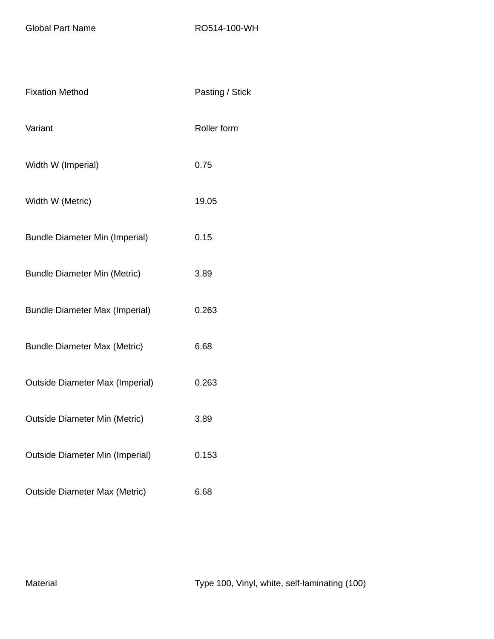Global Part Name RO514-100-WH

| <b>Fixation Method</b>                 | Pasting / Stick |
|----------------------------------------|-----------------|
| Variant                                | Roller form     |
| Width W (Imperial)                     | 0.75            |
| Width W (Metric)                       | 19.05           |
| <b>Bundle Diameter Min (Imperial)</b>  | 0.15            |
| <b>Bundle Diameter Min (Metric)</b>    | 3.89            |
| <b>Bundle Diameter Max (Imperial)</b>  | 0.263           |
| <b>Bundle Diameter Max (Metric)</b>    | 6.68            |
| <b>Outside Diameter Max (Imperial)</b> | 0.263           |
| <b>Outside Diameter Min (Metric)</b>   | 3.89            |
| <b>Outside Diameter Min (Imperial)</b> | 0.153           |
| <b>Outside Diameter Max (Metric)</b>   | 6.68            |